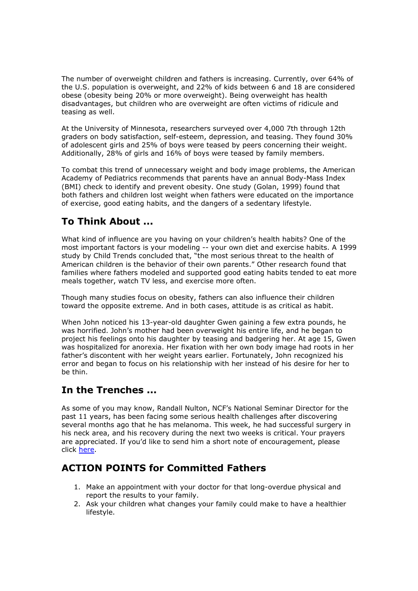The number of overweight children and fathers is increasing. Currently, over 64% of the U.S. population is overweight, and 22% of kids between 6 and 18 are considered obese (obesity being 20% or more overweight). Being overweight has health disadvantages, but children who are overweight are often victims of ridicule and teasing as well.

At the University of Minnesota, researchers surveyed over 4,000 7th through 12th graders on body satisfaction, self-esteem, depression, and teasing. They found 30% of adolescent girls and 25% of boys were teased by peers concerning their weight. Additionally, 28% of girls and 16% of boys were teased by family members.

To combat this trend of unnecessary weight and body image problems, the American Academy of Pediatrics recommends that parents have an annual Body-Mass Index (BMI) check to identify and prevent obesity. One study (Golan, 1999) found that both fathers and children lost weight when fathers were educated on the importance of exercise, good eating habits, and the dangers of a sedentary lifestyle.

## To Think About ...

What kind of influence are you having on your children's health habits? One of the most important factors is your modeling -- your own diet and exercise habits. A 1999 study by Child Trends concluded that, "the most serious threat to the health of American children is the behavior of their own parents." Other research found that families where fathers modeled and supported good eating habits tended to eat more meals together, watch TV less, and exercise more often.

Though many studies focus on obesity, fathers can also influence their children toward the opposite extreme. And in both cases, attitude is as critical as habit.

When John noticed his 13-year-old daughter Gwen gaining a few extra pounds, he was horrified. John's mother had been overweight his entire life, and he began to project his feelings onto his daughter by teasing and badgering her. At age 15, Gwen was hospitalized for anorexia. Her fixation with her own body image had roots in her father's discontent with her weight years earlier. Fortunately, John recognized his error and began to focus on his relationship with her instead of his desire for her to be thin.

## In the Trenches ...

As some of you may know, Randall Nulton, NCF's National Seminar Director for the past 11 years, has been facing some serious health challenges after discovering several months ago that he has melanoma. This week, he had successful surgery in his neck area, and his recovery during the next two weeks is critical. Your prayers are appreciated. If you'd like to send him a short note of encouragement, please click here.

## ACTION POINTS for Committed Fathers

- 1. Make an appointment with your doctor for that long-overdue physical and report the results to your family.
- 2. Ask your children what changes your family could make to have a healthier lifestyle.